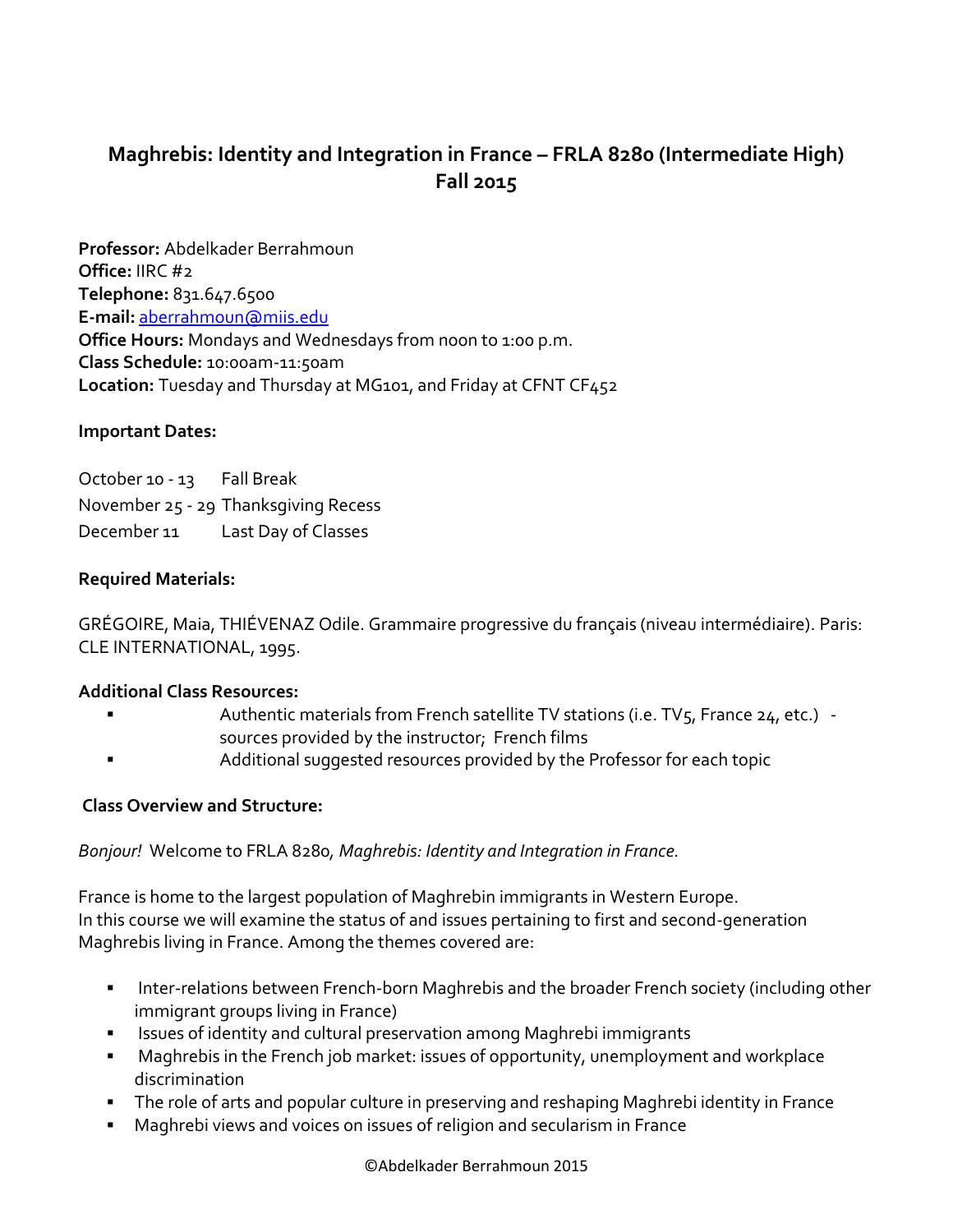# **Maghrebis: Identity and Integration in France – FRLA 8280 (Intermediate High) Fall 2015**

**Professor:** Abdelkader Berrahmoun **Office:** IIRC #2 **Telephone:** 831.647.6500 **E-mail:** [aberrahmoun@miis.edu](mailto:aberrahmoun@miis.edu) **Office Hours:** Mondays and Wednesdays from noon to 1:00 p.m. **Class Schedule:** 10:00am-11:50am **Location:** Tuesday and Thursday at MG101, and Friday at CFNT CF452

## **Important Dates:**

October 10 - 13 Fall Break November 25 - 29 Thanksgiving Recess December 11 Last Day of Classes

### **Required Materials:**

GRÉGOIRE, Maia, THIÉVENAZ Odile. Grammaire progressive du français (niveau intermédiaire). Paris: CLE INTERNATIONAL, 1995.

#### **Additional Class Resources:**

- Authentic materials from French satellite TV stations (i.e. TV $_5$ , France 24, etc.) sources provided by the instructor; French films
- Additional suggested resources provided by the Professor for each topic

#### **Class Overview and Structure:**

## *Bonjour!* Welcome to FRLA 8280*, Maghrebis: Identity and Integration in France.*

France is home to the largest population of Maghrebin immigrants in Western Europe. In this course we will examine the status of and issues pertaining to first and second-generation Maghrebis living in France. Among the themes covered are:

- **■** Inter-relations between French-born Maghrebis and the broader French society (including other immigrant groups living in France)
- Issues of identity and cultural preservation among Maghrebi immigrants
- Maghrebis in the French job market: issues of opportunity, unemployment and workplace discrimination
- The role of arts and popular culture in preserving and reshaping Maghrebi identity in France
- Maghrebi views and voices on issues of religion and secularism in France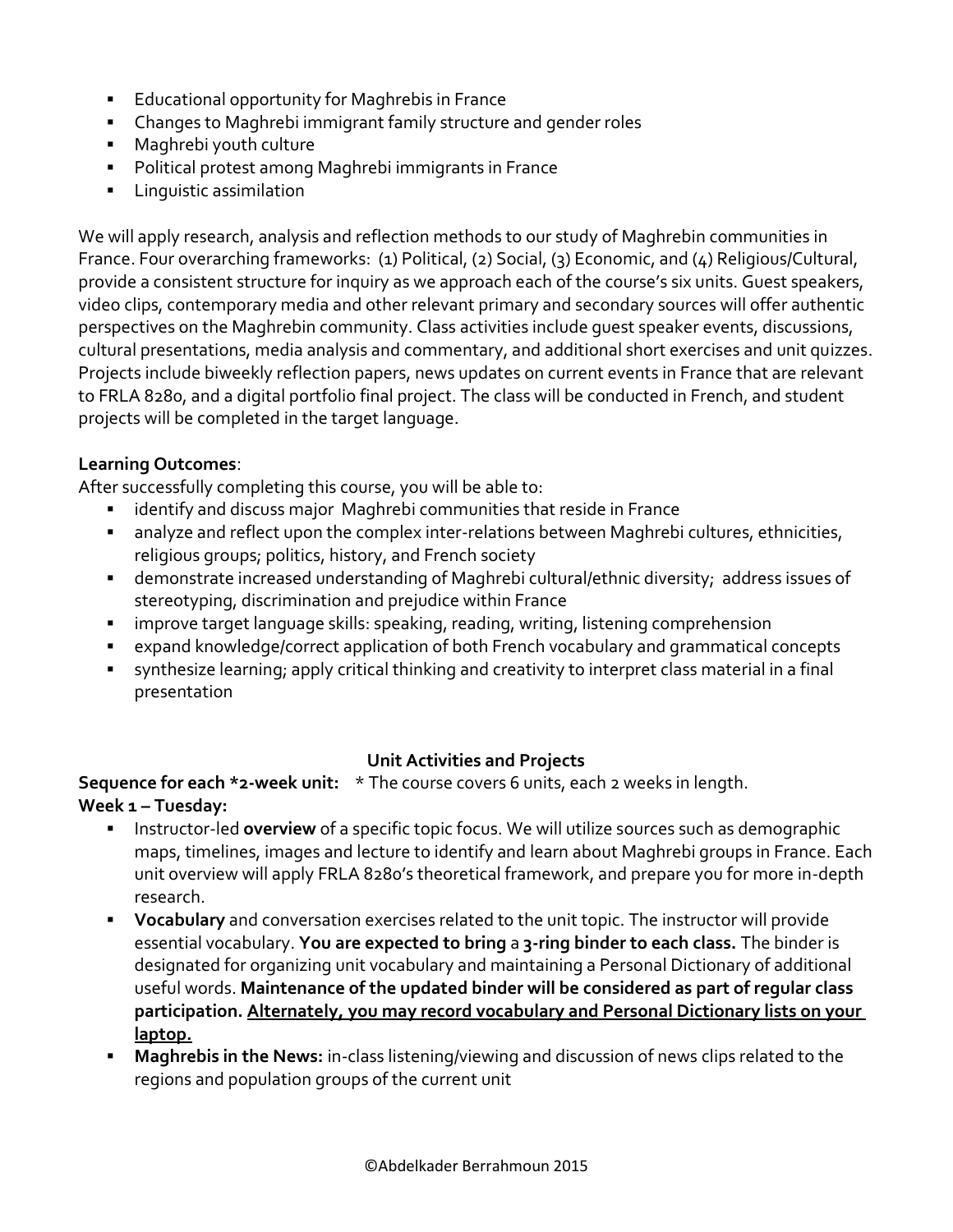- **Educational opportunity for Maghrebis in France**
- Changes to Maghrebi immigrant family structure and gender roles
- Maghrebi youth culture
- Political protest among Maghrebi immigrants in France
- Linguistic assimilation

We will apply research, analysis and reflection methods to our study of Maghrebin communities in France. Four overarching frameworks: (1) Political, (2) Social, (3) Economic, and (4) Religious/Cultural, provide a consistent structure for inquiry as we approach each of the course's six units. Guest speakers, video clips, contemporary media and other relevant primary and secondary sources will offer authentic perspectives on the Maghrebin community. Class activities include guest speaker events, discussions, cultural presentations, media analysis and commentary, and additional short exercises and unit quizzes. Projects include biweekly reflection papers, news updates on current events in France that are relevant to FRLA 8280, and a digital portfolio final project. The class will be conducted in French, and student projects will be completed in the target language.

# **Learning Outcomes**:

After successfully completing this course, you will be able to:

- identify and discuss major Maghrebi communities that reside in France
- analyze and reflect upon the complex inter-relations between Maghrebi cultures, ethnicities, religious groups; politics, history, and French society
- demonstrate increased understanding of Maghrebi cultural/ethnic diversity; address issues of stereotyping, discrimination and prejudice within France
- improve target language skills: speaking, reading, writing, listening comprehension
- expand knowledge/correct application of both French vocabulary and grammatical concepts
- synthesize learning; apply critical thinking and creativity to interpret class material in a final presentation

# **Unit Activities and Projects**

**Sequence for each \*2-week unit:** \* The course covers 6 units, each 2 weeks in length. **Week 1 – Tuesday:**

- **EXED Instructor-led overview** of a specific topic focus. We will utilize sources such as demographic maps, timelines, images and lecture to identify and learn about Maghrebi groups in France. Each unit overview will apply FRLA 8280's theoretical framework, and prepare you for more in-depth research.
- **Vocabulary** and conversation exercises related to the unit topic. The instructor will provide essential vocabulary. **You are expected to bring** a **3-ring binder to each class.** The binder is designated for organizing unit vocabulary and maintaining a Personal Dictionary of additional useful words. **Maintenance of the updated binder will be considered as part of regular class participation. Alternately, you may record vocabulary and Personal Dictionary lists on your laptop.**
- **Maghrebis in the News:** in-class listening/viewing and discussion of news clips related to the regions and population groups of the current unit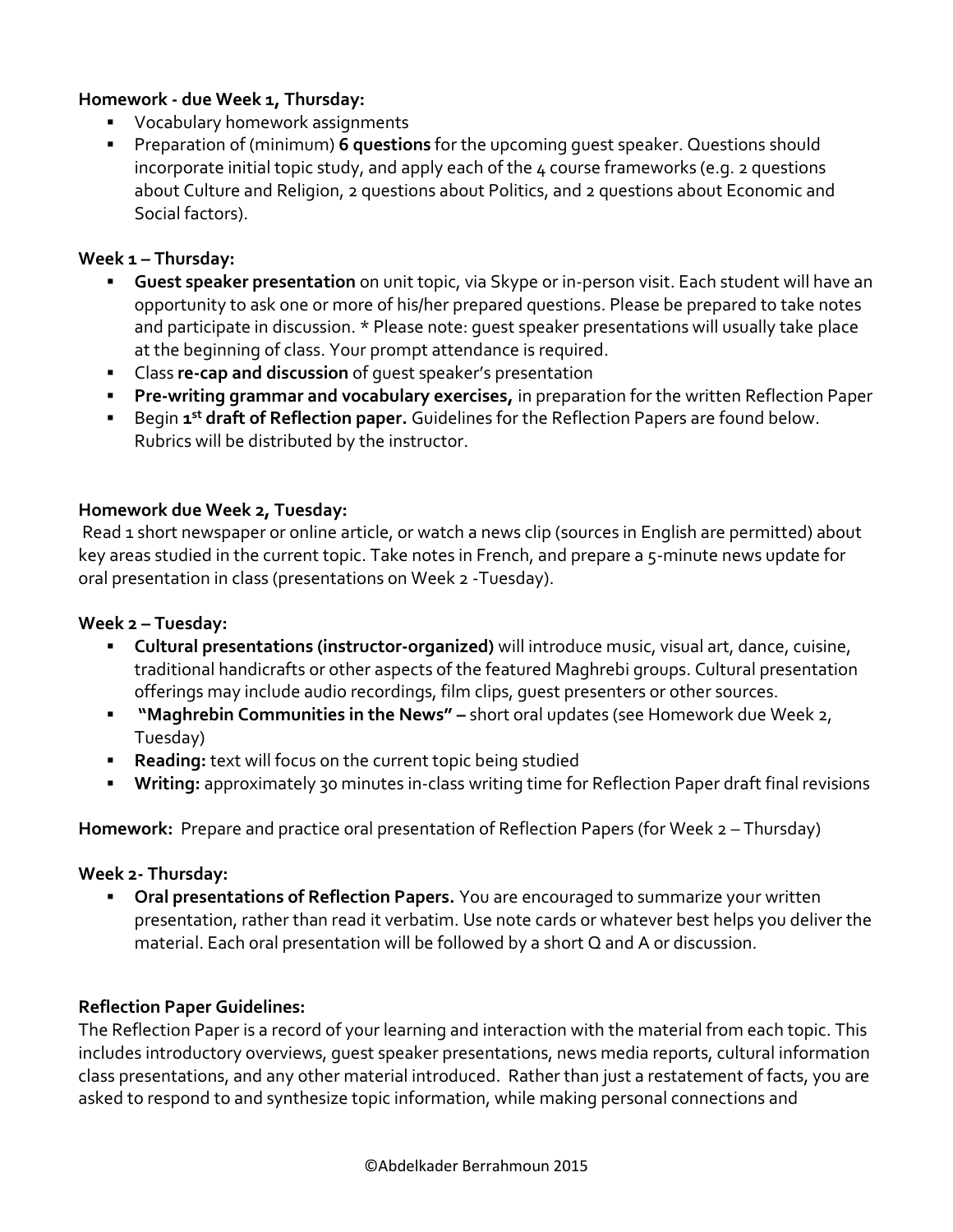## **Homework - due Week 1, Thursday:**

- Vocabulary homework assignments
- Preparation of (minimum) **6 questions** for the upcoming guest speaker. Questions should incorporate initial topic study, and apply each of the 4 course frameworks (e.g. 2 questions about Culture and Religion, 2 questions about Politics, and 2 questions about Economic and Social factors).

## **Week 1 – Thursday:**

- **Guest speaker presentation** on unit topic, via Skype or in-person visit. Each student will have an opportunity to ask one or more of his/her prepared questions. Please be prepared to take notes and participate in discussion. \* Please note: guest speaker presentations will usually take place at the beginning of class. Your prompt attendance is required.
- Class **re-cap and discussion** of guest speaker's presentation
- **Pre-writing grammar and vocabulary exercises,** in preparation for the written Reflection Paper
- **E** Begin 1<sup>st</sup> draft of Reflection paper. Guidelines for the Reflection Papers are found below. Rubrics will be distributed by the instructor.

## **Homework due Week 2, Tuesday:**

Read 1 short newspaper or online article, or watch a news clip (sources in English are permitted) about key areas studied in the current topic. Take notes in French, and prepare a 5-minute news update for oral presentation in class (presentations on Week 2 -Tuesday).

## **Week 2 – Tuesday:**

- **Cultural presentations (instructor-organized)** will introduce music, visual art, dance, cuisine, traditional handicrafts or other aspects of the featured Maghrebi groups. Cultural presentation offerings may include audio recordings, film clips, guest presenters or other sources.
- **"Maghrebin Communities in the News" –** short oral updates (see Homework due Week 2, Tuesday)
- **Reading:** text will focus on the current topic being studied
- **Writing:** approximately 30 minutes in-class writing time for Reflection Paper draft final revisions

**Homework:** Prepare and practice oral presentation of Reflection Papers (for Week 2 – Thursday)

## **Week 2- Thursday:**

**• Oral presentations of Reflection Papers.** You are encouraged to summarize your written presentation, rather than read it verbatim. Use note cards or whatever best helps you deliver the material. Each oral presentation will be followed by a short Q and A or discussion.

## **Reflection Paper Guidelines:**

The Reflection Paper is a record of your learning and interaction with the material from each topic. This includes introductory overviews, guest speaker presentations, news media reports, cultural information class presentations, and any other material introduced. Rather than just a restatement of facts, you are asked to respond to and synthesize topic information, while making personal connections and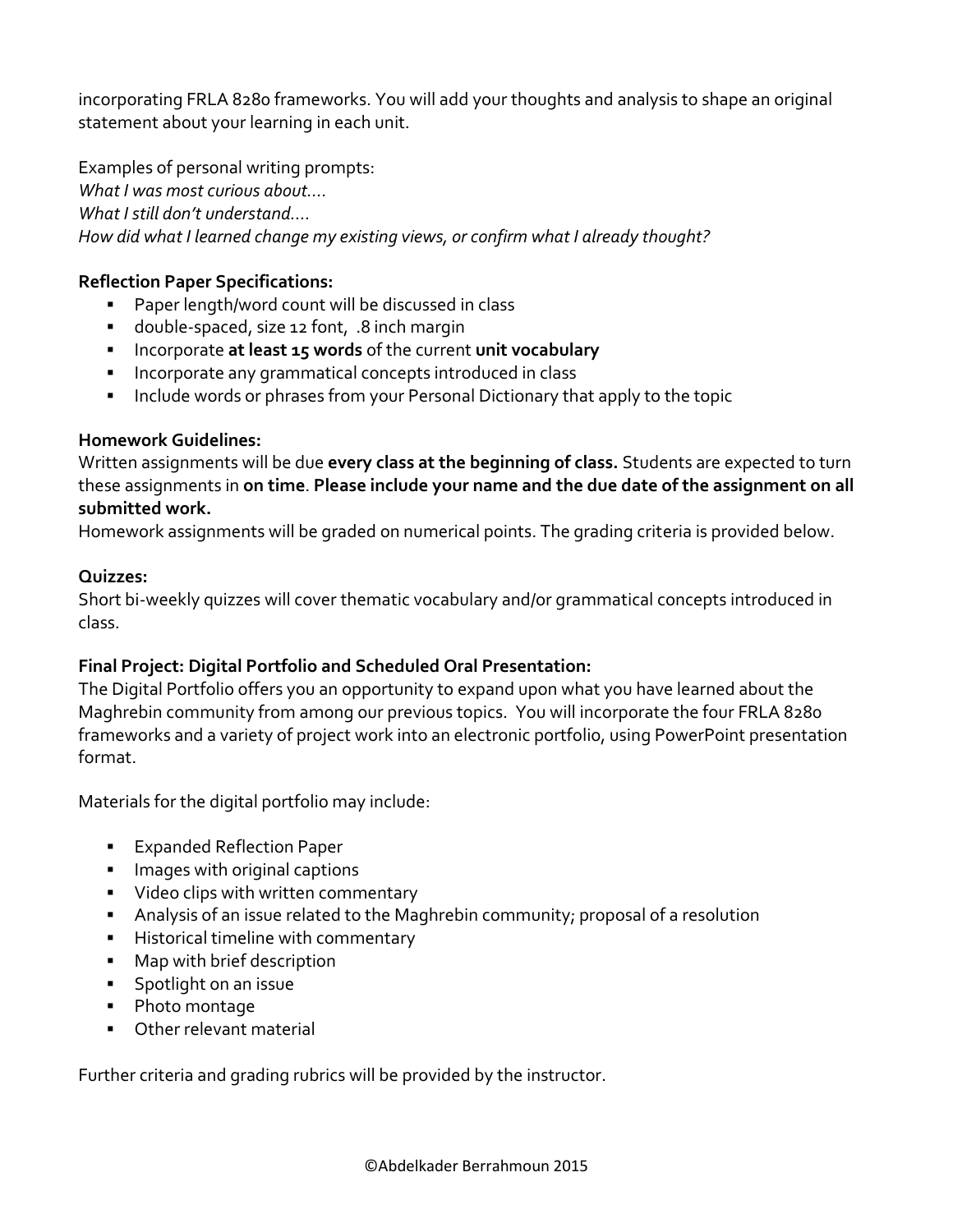incorporating FRLA 8280 frameworks. You will add your thoughts and analysis to shape an original statement about your learning in each unit.

Examples of personal writing prompts: *What I was most curious about…. What I still don't understand…. How did what I learned change my existing views, or confirm what I already thought?*

## **Reflection Paper Specifications:**

- Paper length/word count will be discussed in class
- double-spaced, size 12 font, .8 inch margin
- Incorporate **at least 15 words** of the current **unit vocabulary**
- Incorporate any grammatical concepts introduced in class
- **EXED Include words or phrases from your Personal Dictionary that apply to the topic**

## **Homework Guidelines:**

Written assignments will be due **every class at the beginning of class.** Students are expected to turn these assignments in **on time**. **Please include your name and the due date of the assignment on all submitted work.** 

Homework assignments will be graded on numerical points. The grading criteria is provided below.

## **Quizzes:**

Short bi-weekly quizzes will cover thematic vocabulary and/or grammatical concepts introduced in class.

# **Final Project: Digital Portfolio and Scheduled Oral Presentation:**

The Digital Portfolio offers you an opportunity to expand upon what you have learned about the Maghrebin community from among our previous topics. You will incorporate the four FRLA 8280 frameworks and a variety of project work into an electronic portfolio, using PowerPoint presentation format.

Materials for the digital portfolio may include:

- Expanded Reflection Paper
- Images with original captions
- Video clips with written commentary
- **EXED Analysis of an issue related to the Maghrebin community; proposal of a resolution**
- **E** Historical timeline with commentary
- Map with brief description
- **EXECUTE:** Spotlight on an issue
- Photo montage
- Other relevant material

Further criteria and grading rubrics will be provided by the instructor.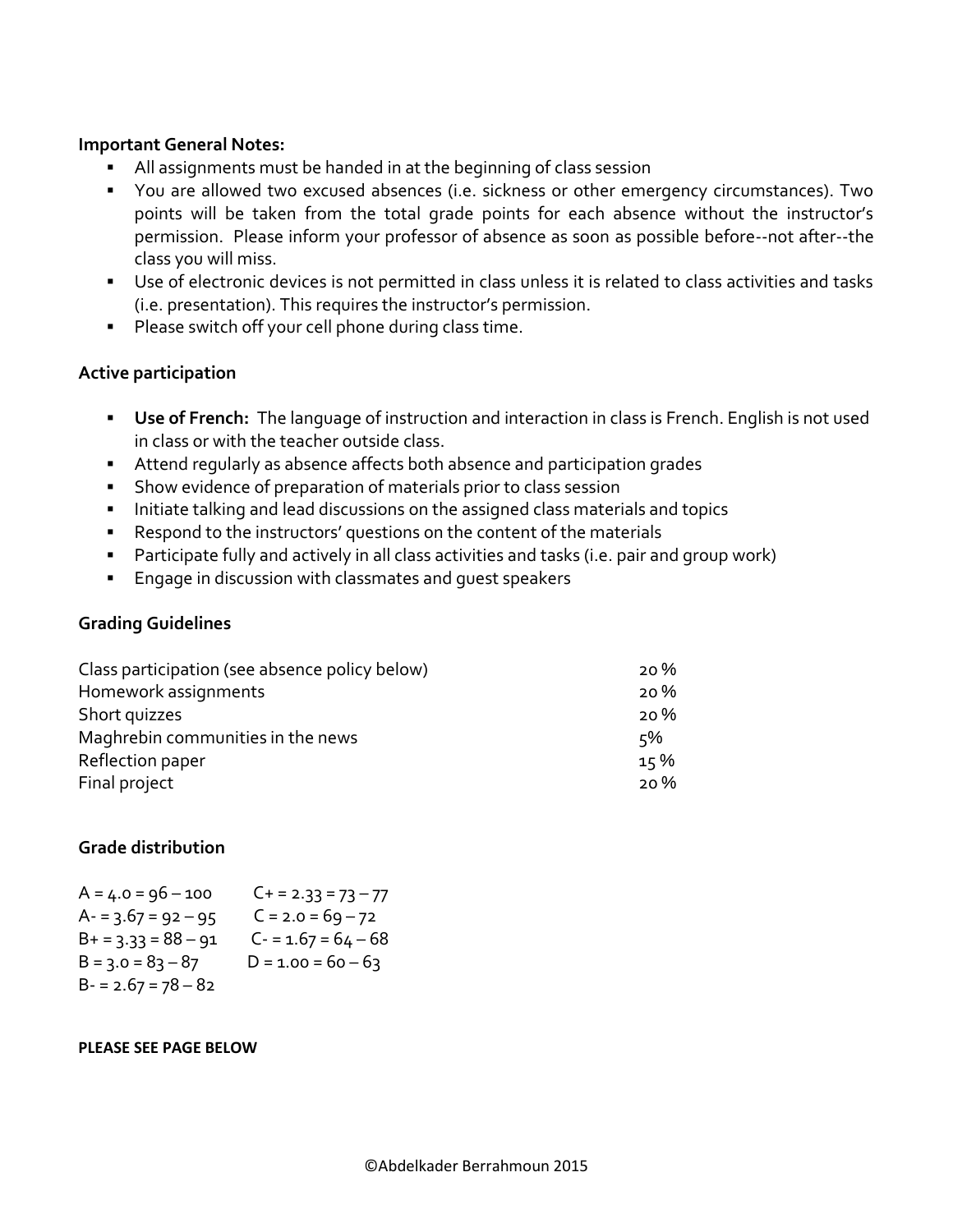#### **Important General Notes:**

- All assignments must be handed in at the beginning of class session
- You are allowed two excused absences (i.e. sickness or other emergency circumstances). Two points will be taken from the total grade points for each absence without the instructor's permission. Please inform your professor of absence as soon as possible before--not after--the class you will miss.
- Use of electronic devices is not permitted in class unless it is related to class activities and tasks (i.e. presentation). This requires the instructor's permission.
- Please switch off your cell phone during class time.

### **Active participation**

- **Use of French:** The language of instruction and interaction in class is French. English is not used in class or with the teacher outside class.
- Attend regularly as absence affects both absence and participation grades
- **EXECT** Show evidence of preparation of materials prior to class session
- **EXED Initiate talking and lead discussions on the assigned class materials and topics**
- Respond to the instructors' questions on the content of the materials
- Participate fully and actively in all class activities and tasks (i.e. pair and group work)
- Engage in discussion with classmates and quest speakers

#### **Grading Guidelines**

| Class participation (see absence policy below) | 20% |
|------------------------------------------------|-----|
| Homework assignments                           | 20% |
| Short quizzes                                  | 20% |
| Maghrebin communities in the news              | 5%  |
| Reflection paper                               | 15% |
| Final project                                  | 20% |

## **Grade distribution**

| $A = 4.0 = 96 - 100$  | $C_+$ = 2.33 = 73 – 77 |
|-----------------------|------------------------|
| $A - 3.67 = 92 - 95$  | $C = 2.0 = 69 - 72$    |
| $B+ = 3.33 = 88 - 91$ | $C - 1.67 = 64 - 68$   |
| $B = 3.0 = 83 - 87$   | $D = 1.00 = 60 - 63$   |
| $B - 2.67 = 78 - 82$  |                        |

#### **PLEASE SEE PAGE BELOW**